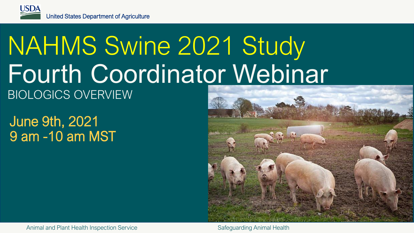## NAHMS Swine 2021 Study Fourth Coordinator Webinar BIOLOGICS OVERVIEW

June 9th, 2021 9 am -10 am MST

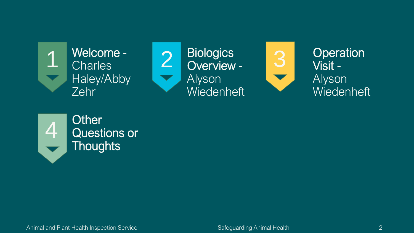

Welcome -





4 Other<br>4 Questions or **Thoughts**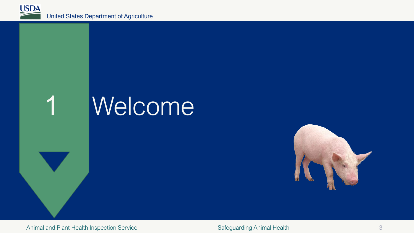



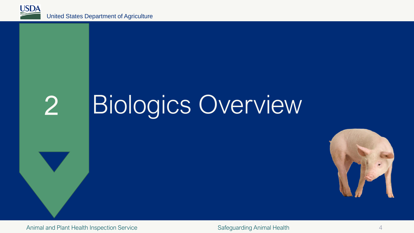

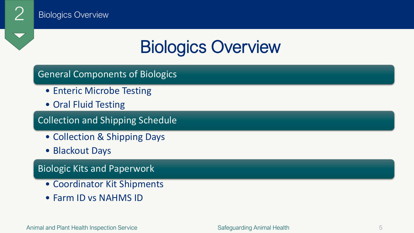

### General Components of Biologics

- Enteric Microbe Testing
- Oral Fluid Testing

### Collection and Shipping Schedule

- Collection & Shipping Days
- Blackout Days

### Biologic Kits and Paperwork

- Coordinator Kit Shipments
- Farm ID vs NAHMS ID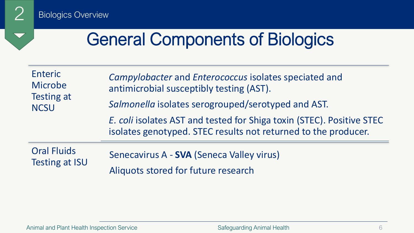$\blacktriangledown$ 

2 Biologics Overview

## General Components of Biologics

| Enteric<br>Microbe<br><b>Testing at</b><br><b>NCSU</b> | Campylobacter and Enterococcus isolates speciated and<br>antimicrobial susceptibly testing (AST).<br>Salmonella isolates serogrouped/serotyped and AST. |
|--------------------------------------------------------|---------------------------------------------------------------------------------------------------------------------------------------------------------|
|                                                        | E. coli isolates AST and tested for Shiga toxin (STEC). Positive STEC<br>isolates genotyped. STEC results not returned to the producer.                 |
| <b>Oral Fluids</b><br><b>Testing at ISU</b>            | Senecavirus A - SVA (Seneca Valley virus)<br>Aliquots stored for future research                                                                        |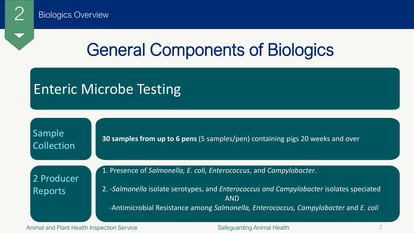

## General Components of Biologics

### Enteric Microbe Testing

| Sample<br>Collection | 30 samples from up to 6 pens (5 samples/pen) containing pigs 20 weeks and over                        |
|----------------------|-------------------------------------------------------------------------------------------------------|
| 2 Producer           | 1. Presence of Salmonella, E. coli, Enterococcus, and Campylobacter.                                  |
| Reports              | 2. -Salmonella isolate serotypes, and Enterococcus and Campylobacter isolates speciated<br><b>AND</b> |
|                      | -Antimicrobial Resistance among Salmonella, Enterococcus, Campylobacter and E. coli                   |

Animal and Plant Health Inspection Service Safeguarding Animal Health 7 Safeguarding Animal Health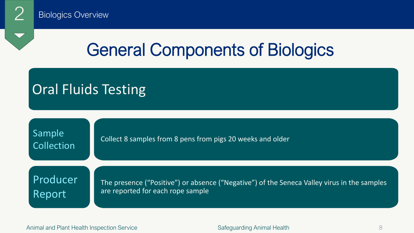

## General Components of Biologics

### Oral Fluids Testing

Collect 8 samples from 8 pens from pigs 20 weeks and older

Producer Report

Sample

Collection

The presence ("Positive") or absence ("Negative") of the Seneca Valley virus in the samples are reported for each rope sample

Animal and Plant Health Inspection Service 8 and Safeguarding Animal Health 8 and Plant Health 8 and Plant Health 8 and 9 and 9 and 9 and 9 and 9 and 9 and 9 and 9 and 9 and 9 and 9 and 9 and 9 and 9 and 9 and 9 and 9 and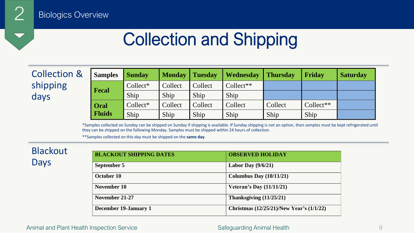## Collection and Shipping

Collection & shipping days

| <b>Samples</b> | <b>Sunday</b> | <b>Monday</b> | Tuesday | <b>Wednesday</b> | <b>Thursday</b> | Friday      | <b>Saturday</b> |
|----------------|---------------|---------------|---------|------------------|-----------------|-------------|-----------------|
| <b>Fecal</b>   | $Collect*$    | Collect       | Collect | $Collect**$      |                 |             |                 |
|                | Ship          | Ship          | Ship    | Ship             |                 |             |                 |
| Oral           | $Collect*$    | Collect       | Collect | Collect          | Collect         | $Collect**$ |                 |
| <b>Fluids</b>  | Ship          | Ship          | Ship    | Ship             | Ship            | Ship        |                 |

\*Samples collected on Sunday can be shipped on Sunday if shipping is available. If Sunday shipping is not an option, then samples must be kept refrigerated until they can be shipped on the following Monday. Samples must be shipped within 24 hours of collection.

\*\*Samples collected on this day must be shipped on the **same day**.

### Blackout Days

| <b>BLACKOUT SHIPPING DATES</b> | <b>OBSERVED HOLIDAY</b>                  |
|--------------------------------|------------------------------------------|
| September 5                    | Labor Day $(9/6/21)$                     |
| October 10                     | Columbus Day $(10/11/21)$                |
| November 10                    | Veteran's Day $(11/11/21)$               |
| November 21-27                 | Thanksgiving $(11/25/21)$                |
| December 19-January 1          | Christmas (12/25/21)/New Year's (1/1/22) |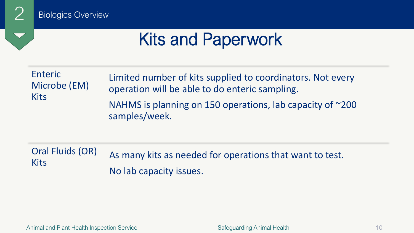

## Kits and Paperwork

| Enteric      | Limited number of kits supplied to coordinators. Not every                          |
|--------------|-------------------------------------------------------------------------------------|
| Microbe (EM) | operation will be able to do enteric sampling.                                      |
| <b>Kits</b>  | NAHMS is planning on 150 operations, lab capacity of $\approx$ 200<br>samples/week. |

Oral Fluids (OR) Kits As many kits as needed for operations that want to test. No lab capacity issues.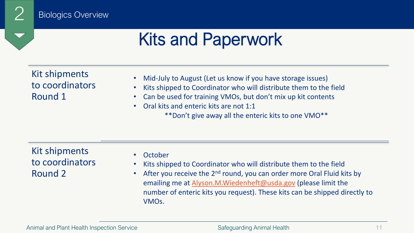## Kits and Paperwork

Kit shipments to coordinators Round 1

- Mid-July to August (Let us know if you have storage issues)
- Kits shipped to Coordinator who will distribute them to the field
- Can be used for training VMOs, but don't mix up kit contents
- Oral kits and enteric kits are not 1:1
	- \*\*Don't give away all the enteric kits to one VMO\*\*

### Kit shipments to coordinators Round 2

- October
- Kits shipped to Coordinator who will distribute them to the field
- After you receive the  $2^{nd}$  round, you can order more Oral Fluid kits by emailing me at [Alyson.M.Wiedenheft@usda.gov](mailto:Alyson.M.Wiedenheft@usda.gov) (please limit the number of enteric kits you request). These kits can be shipped directly to VMOs.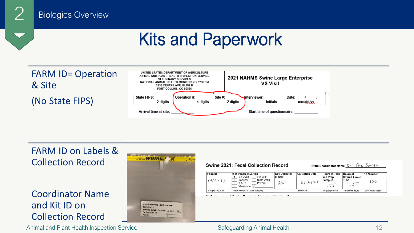## Kits and Paperwork





### FARM ID on Labels & Collection Record

### Coordinator Name and Kit ID on Collection Record

Animal and Plant Health Inspection Service **Safeguarding Animal Health** 12



### Swine 2021: Fecal Collection Record

### State Coordinator Name: Dr. Bob Smith

| <b>Farm ID</b><br>$0999 -$ | # of People Involved<br>Fed AHT<br>Fed VMO<br>State VMO<br>Producer<br>St AHT<br>Priv Vet<br>Others-specify: | <b>Key Collector</b><br><b>Initials</b><br>ΑW | <b>Collection Date</b><br>1011621 | <b>Hours to Take</b><br>and Prep<br><b>Samples</b> | <b>Hours of</b><br><b>Overall Travel</b><br>Time<br>.2 | <b>Kit Number</b><br>0 <sup>O</sup> |
|----------------------------|--------------------------------------------------------------------------------------------------------------|-----------------------------------------------|-----------------------------------|----------------------------------------------------|--------------------------------------------------------|-------------------------------------|
| 6-digits: Op, Site         | Enter number for each category                                                                               |                                               | MM/DD/YY                          | In quarter hours                                   | In quarter hours                                       | Must match labels                   |

anassar tha fallassina thuga assantiana ranardina thia aita: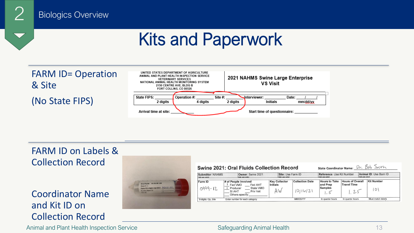## Kits and Paperwork



### FARM ID on Labels & Collection Record

### Coordinator Name and Kit ID on Collection Record



| Owner: Swine 2021<br>Submitter: NAHMS<br>(lab use only)<br>(lab use only) |                                                                                                  | Site: Use Farm ID<br>(lab use only)    |                                    | Animal ID: Use Barn ID<br>Reference: Use Kit Number<br>(lab use only)<br>(lab use only) |                                                     |                              |
|---------------------------------------------------------------------------|--------------------------------------------------------------------------------------------------|----------------------------------------|------------------------------------|-----------------------------------------------------------------------------------------|-----------------------------------------------------|------------------------------|
| Farm ID<br>$0999 - 12$                                                    | # of People Involved<br>Fed AHT<br>Fed VMO<br>State VMO<br>Producer<br><b>Priv Vet</b><br>St AHT | <b>Key Collector</b><br>Initials<br>AW | <b>Collection Date</b><br>10116/21 | <b>Hours to Take</b><br>and Prep<br><b>Samples</b>                                      | <b>Hours of Overall</b><br><b>Travel Time</b><br>25 | <b>Kit Number</b><br>$\circ$ |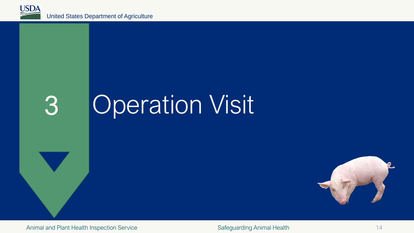

# 3 Operation Visit

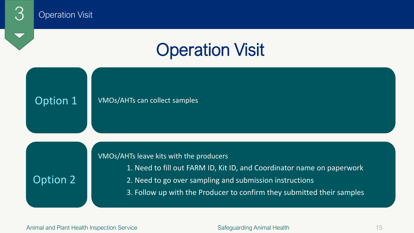## **Operation Visit**

### Option 1 VMOs/AHTs can collect samples

### VMOs/AHTs leave kits with the producers

### 1. Need to fill out FARM ID, Kit ID, and Coordinator name on paperwork

- Option 2 2. Need to go over sampling and submission instructions
	- 3. Follow up with the Producer to confirm they submitted their samples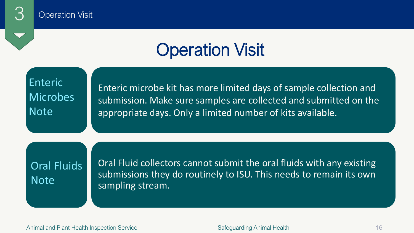## Operation Visit

Enteric Enteric microbe kit has more limited days of sample collection and<br>Microbes Eubmission Make sure samples are collected and submitted on the submission. Make sure samples are collected and submitted on the Note appropriate days. Only a limited number of kits available.

Oral Fluids | Oral Fluid collectors cannot submit the oral fluids with any existing submissions they do routinely to ISU. This needs to remain its own sampling stream.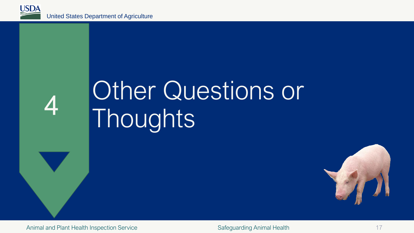

# Other Questions or Thoughts